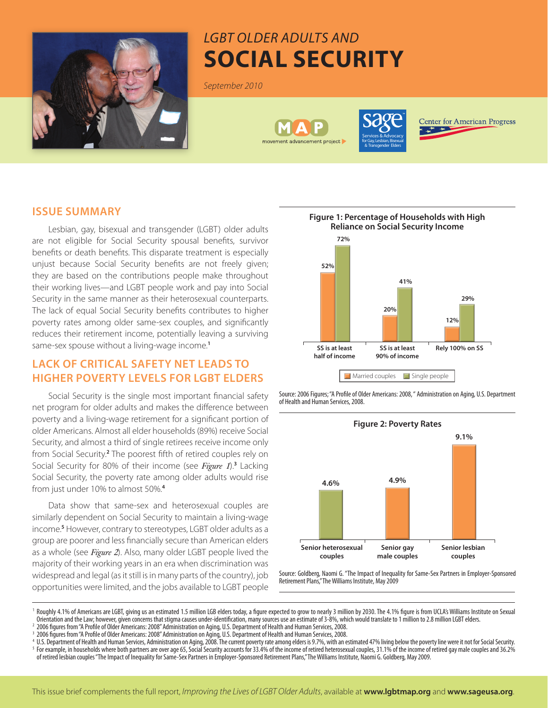

# *LGBT Older Adults and* **Social Security**

*September 2010*





**Center for American Progress** 

## **ISSUE SUMMARY**

Lesbian, gay, bisexual and transgender (LGBT) older adults are not eligible for Social Security spousal benefits, survivor benefits or death benefits. This disparate treatment is especially unjust because Social Security benefits are not freely given; they are based on the contributions people make throughout their working lives—and LGBT people work and pay into Social Security in the same manner as their heterosexual counterparts. The lack of equal Social Security benefits contributes to higher poverty rates among older same-sex couples, and significantly reduces their retirement income, potentially leaving a surviving same-sex spouse without a living-wage income.**<sup>1</sup>**

# **LACK OF CRITICAL SAFETY NET LEADS TO HIGHER POVERTY LEVELS FOR LGBT ELDERS**

Social Security is the single most important financial safety net program for older adults and makes the difference between poverty and a living-wage retirement for a significant portion of older Americans. Almost all elder households (89%) receive Social Security, and almost a third of single retirees receive income only from Social Security.**<sup>2</sup>** The poorest fifth of retired couples rely on Social Security for 80% of their income (see *Figure 1*).**<sup>3</sup>** Lacking Social Security, the poverty rate among older adults would rise from just under 10% to almost 50%.**<sup>4</sup>**

Data show that same-sex and heterosexual couples are similarly dependent on Social Security to maintain a living-wage income.**<sup>5</sup>** However, contrary to stereotypes, LGBT older adults as a group are poorer and less financially secure than American elders as a whole (see *Figure 2*). Also, many older LGBT people lived the majority of their working years in an era when discrimination was widespread and legal (as it still is in many parts of the country), job opportunities were limited, and the jobs available to LGBT people







Source: Goldberg, Naomi G. "The Impact of Inequality for Same-Sex Partners in Employer-Sponsored Retirement Plans," The Williams Institute, May 2009

<sup>1</sup> Roughly 4.1% of Americans are LGBT, giving us an estimated 1.5 million LGB elders today, a figure expected to grow to nearly 3 million by 2030. The 4.1% figure is from UCLA's Williams Institute on Sexual Orientation and the Law; however, given concerns that stigma causes under-identification, many sources use an estimate of 3-8%, which would translate to 1 million to 2.8 million LGBT elders. <sup>2</sup> 2006 figures from "A Profile of Older Americans: 2008" Administration on Aging, U.S. Department of Health and Human Services, 2008.

<sup>3</sup> 2006 figures from "A Profile of Older Americans: 2008" Administration on Aging, U.S. Department of Health and Human Services, 2008.

<sup>4</sup> U.S. Department of Health and Human Services, Administration on Aging, 2008. The current poverty rate among elders is 9.7%, with an estimated 47% living below the poverty line were it not for Social Security. <sup>5</sup> For example, in households where both partners are over age 65, Social Security accounts for 33.4% of the income of retired heterosexual couples, 31.1% of the income of retired gay male couples and 36.2% of retired lesbian couples "The Impact of Inequality for Same-Sex Partners in Employer-Sponsored Retirement Plans," The Williams Institute, Naomi G. Goldberg, May 2009.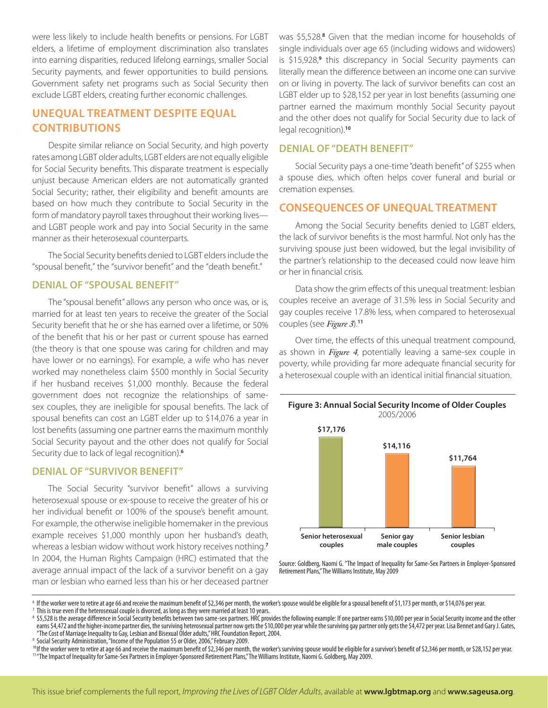were less likely to include health benefits or pensions. For LGBT elders, a lifetime of employment discrimination also translates into earning disparities, reduced lifelong earnings, smaller Social Security payments, and fewer opportunities to build pensions. Government safety net programs such as Social Security then exclude LGBT elders, creating further economic challenges.

# **UNEQUAL TREATMENT DESPITE EQUAL CONTRIBUTIONS**

Despite similar reliance on Social Security, and high poverty rates among LGBT older adults, LGBT elders are not equally eligible for Social Security benefits. This disparate treatment is especially unjust because American elders are not automatically granted Social Security; rather, their eligibility and benefit amounts are based on how much they contribute to Social Security in the form of mandatory payroll taxes throughout their working lives and LGBT people work and pay into Social Security in the same manner as their heterosexual counterparts.

The Social Security benefits denied to LGBT elders include the "spousal benefit," the "survivor benefit" and the "death benefit."

#### **DENIAL OF "SPOUSAL BENEFIT"**

The "spousal benefit" allows any person who once was, or is, married for at least ten years to receive the greater of the Social Security benefit that he or she has earned over a lifetime, or 50% of the benefit that his or her past or current spouse has earned (the theory is that one spouse was caring for children and may have lower or no earnings). For example, a wife who has never worked may nonetheless claim \$500 monthly in Social Security if her husband receives \$1,000 monthly. Because the federal government does not recognize the relationships of samesex couples, they are ineligible for spousal benefits. The lack of spousal benefits can cost an LGBT elder up to \$14,076 a year in lost benefits (assuming one partner earns the maximum monthly Social Security payout and the other does not qualify for Social Security due to lack of legal recognition).**<sup>6</sup>**

#### **DENIAL OF "SURVIVOR BENEFIT"**

The Social Security "survivor benefit" allows a surviving heterosexual spouse or ex-spouse to receive the greater of his or her individual benefit or 100% of the spouse's benefit amount. For example, the otherwise ineligible homemaker in the previous example receives \$1,000 monthly upon her husband's death, whereas a lesbian widow without work history receives nothing.**<sup>7</sup>** In 2004, the Human Rights Campaign (HRC) estimated that the average annual impact of the lack of a survivor benefit on a gay man or lesbian who earned less than his or her deceased partner

was \$5,528.8 Given that the median income for households of single individuals over age 65 (including widows and widowers) is \$15,928,<sup>9</sup> this discrepancy in Social Security payments can literally mean the difference between an income one can survive on or living in poverty. The lack of survivor benefits can cost an LGBT elder up to \$28,152 per year in lost benefits (assuming one partner earned the maximum monthly Social Security payout and the other does not qualify for Social Security due to lack of legal recognition).**<sup>10</sup>**

#### **DENIAL OF "DEATH BENEFIT"**

Social Security pays a one-time "death benefit" of \$255 when a spouse dies, which often helps cover funeral and burial or cremation expenses.

## **CONSEQUENCES OF UNEQUAL TREATMENT**

Among the Social Security benefits denied to LGBT elders, the lack of survivor benefits is the most harmful. Not only has the surviving spouse just been widowed, but the legal invisibility of the partner's relationship to the deceased could now leave him or her in financial crisis.

Data show the grim effects of this unequal treatment: lesbian couples receive an average of 31.5% less in Social Security and gay couples receive 17.8% less, when compared to heterosexual couples (see *Figure 3*).**<sup>11</sup>**

Over time, the effects of this unequal treatment compound, as shown in *Figure 4*, potentially leaving a same-sex couple in poverty, while providing far more adequate financial security for a heterosexual couple with an identical initial financial situation.



Source: Goldberg, Naomi G. "The Impact of Inequality for Same-Sex Partners in Employer-Sponsored Retirement Plans," The Williams Institute, May 2009

<sup>6</sup> If the worker were to retire at age 66 and receive the maximum benefit of \$2,346 per month, the worker's spouse would be eligible for a spousal benefit of \$1,173 per month, or \$14,076 per year.

 $<sup>7</sup>$  This is true even if the heterosexual couple is divorced, as long as they were married at least 10 years.</sup>

<sup>8 \$5,528</sup> is the average difference in Social Security benefits between two same-sex partners. HRC provides the following example: If one partner earns \$10,000 per year in Social Security income and the other earns \$4,472 and the higher-income partner dies, the surviving heterosexual partner now gets the \$10,000 per year while the surviving gay partner only gets the \$4,472 per year. Lisa Bennet and Gary J. Gates, "The Cost of Marriage Inequality to Gay, Lesbian and Bisexual Older adults," HRC Foundation Report, 2004.

<sup>&</sup>lt;sup>9</sup> Social Security Administration, "Income of the Population 55 or Older, 2006," February 2009.

<sup>&</sup>lt;sup>10</sup>If the worker were to retire at age 66 and receive the maximum benefit of \$2,346 per month, the worker's surviving spouse would be eligible for a survivor's benefit of \$2,346 per month, or \$28,152 per year. <sup>11</sup> "The Impact of Inequality for Same-Sex Partners in Employer-Sponsored Retirement Plans," The Williams Institute, Naomi G. Goldberg, May 2009.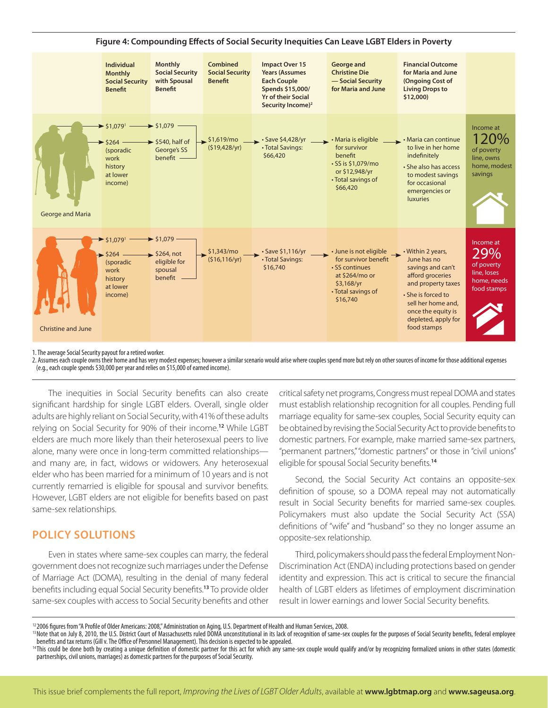

1. The average Social Security payout for a retired worker.

2. Assumes each couple owns their home and has very modest expenses; however a similar scenario would arise where couples spend more but rely on other sources of income for those additional expenses (e.g., each couple spends \$30,000 per year and relies on \$15,000 of earned income).

The inequities in Social Security benefits can also create significant hardship for single LGBT elders. Overall, single older adults are highly reliant on Social Security, with 41% of these adults relying on Social Security for 90% of their income.**<sup>12</sup>** While LGBT elders are much more likely than their heterosexual peers to live alone, many were once in long-term committed relationships and many are, in fact, widows or widowers. Any heterosexual elder who has been married for a minimum of 10 years and is not currently remarried is eligible for spousal and survivor benefits. However, LGBT elders are not eligible for benefits based on past same-sex relationships.

# **POLICY SOLUTIONS**

Even in states where same-sex couples can marry, the federal government does not recognize such marriages under the Defense of Marriage Act (DOMA), resulting in the denial of many federal benefits including equal Social Security benefits.**<sup>13</sup>** To provide older same-sex couples with access to Social Security benefits and other

critical safety net programs, Congress must repeal DOMA and states must establish relationship recognition for all couples. Pending full marriage equality for same-sex couples, Social Security equity can be obtained by revising the Social Security Act to provide benefits to domestic partners. For example, make married same-sex partners, "permanent partners," "domestic partners" or those in "civil unions" eligible for spousal Social Security benefits.**<sup>14</sup>**

Second, the Social Security Act contains an opposite-sex definition of spouse, so a DOMA repeal may not automatically result in Social Security benefits for married same-sex couples. Policymakers must also update the Social Security Act (SSA) definitions of "wife" and "husband" so they no longer assume an opposite-sex relationship.

Third, policymakers should pass the federal Employment Non-Discrimination Act (ENDA) including protections based on gender identity and expression. This act is critical to secure the financial health of LGBT elders as lifetimes of employment discrimination result in lower earnings and lower Social Security benefits.

<sup>&</sup>lt;sup>12</sup> 2006 figures from "A Profile of Older Americans: 2008," Administration on Aging, U.S. Department of Health and Human Services, 2008.

<sup>&</sup>lt;sup>13</sup> Note that on July 8, 2010, the U.S. District Court of Massachusetts ruled DOMA unconstitutional in its lack of recognition of same-sex couples for the purposes of Social Security benefits, federal employee benefits and tax returns (Gill v. The Office of Personnel Management). This decision is expected to be appealed.

<sup>&</sup>lt;sup>14</sup>This could be done both by creating a unique definition of domestic partner for this act for which any same-sex couple would qualify and/or by recognizing formalized unions in other states (domestic partnerships, civil unions, marriages) as domestic partners for the purposes of Social Security.